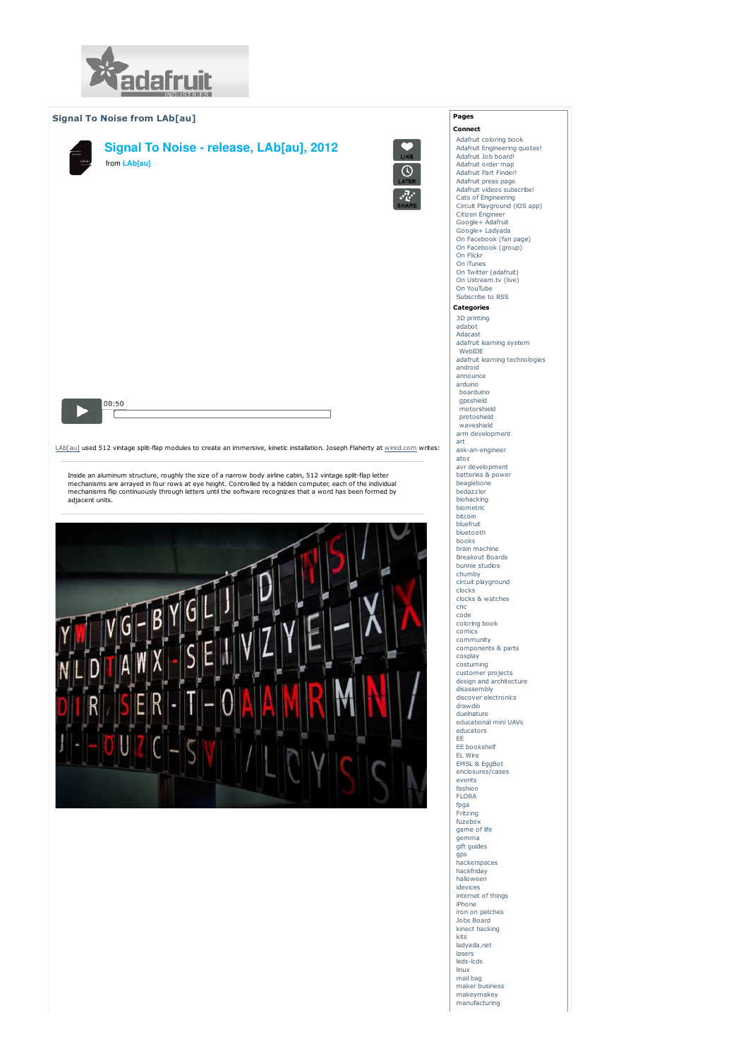

## Signal To Noise from LAb[au]



LAb[au] used 512 vintage split-flap modules to create an immersive, kinetic installation. Joseph Flaherty at wired.com writes:

Inside an aluminum structure, roughly the size of a narrow body airline cabin, 512 vintage split-flap letter<br>mechanisms are arrayed in four rows at eye height. Controlled by a hidden computer, each of the individual mechanisms flip continuously through letters until the software recognizes that a word has been formed by adjacent units.



Pages Connect

 $\overline{\Omega}$ 

Adafruit coloring book Adafruit Engineering quotes! Adafruit Job board! Adafruit order map Adafruit Part Finder! Adafruit press page Adafruit videos subscribe! Cats of Engineering Circuit Playground (iOS app) Citizen Engineer Google+ Adafruit Google+ Ladyada On Facebook (fan page) On Facebook (group) On Flickr On iTunes On Twitter (adafruit) On Ustream.tv (live) On YouTube Subscribe to RSS Categories 3D printing adabot Adacast adafruit learning system WebIDE adafruit learning technologies android announce arduino boarduino gpsshield motorshield protoshield waveshield arm development art ask-an-engineer atoz avr development batteries & power beaglebone bedazzler biohacking biometric bitcoin bluefruit bluetooth books brain machine Breakout Boards bunnie studios chumby circuit playground clocks clocks & watches cnc code coloring book comics community components & parts cosplay costuming customer projects design and architecture disassembly discover electronics drawdio duelnature educational mini UAVs educators EE EE bookshelf EL Wire EMSL & EggBot enclosures/cases events fashion FLORA fpga Fritzing fuzebox game of life gemma germina<br>gift guides gps hackerspaces hackfriday halloween idevices internet of things iPhone iron on patches Jobs Board kinect hacking kite ladyada.net lasers leds-lcds linux mail bag maker business makeymakey manufacturing